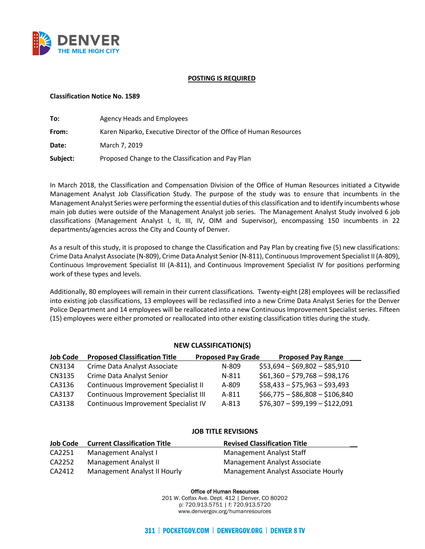

## **POSTING IS REQUIRED**

### **Classification Notice No. 1589**

| To:      | Agency Heads and Employees                                         |
|----------|--------------------------------------------------------------------|
| From:    | Karen Niparko, Executive Director of the Office of Human Resources |
| Date:    | March 7, 2019                                                      |
| Subject: | Proposed Change to the Classification and Pay Plan                 |

In March 2018, the Classification and Compensation Division of the Office of Human Resources initiated a Citywide Management Analyst Job Classification Study. The purpose of the study was to ensure that incumbents in the Management Analyst Series were performing the essential duties of this classification and to identify incumbents whose main job duties were outside of the Management Analyst job series. The Management Analyst Study involved 6 job classifications (Management Analyst I, II, III, IV, OIM and Supervisor), encompassing 150 incumbents in 22 departments/agencies across the City and County of Denver.

As a result of this study, it is proposed to change the Classification and Pay Plan by creating five (5) new classifications: Crime Data Analyst Associate (N-809), Crime Data Analyst Senior (N-811), Continuous Improvement Specialist II (A-809), Continuous Improvement Specialist III (A-811), and Continuous Improvement Specialist IV for positions performing work of these types and levels.

Additionally, 80 employees will remain in their current classifications. Twenty-eight (28) employees will be reclassified into existing job classifications, 13 employees will be reclassified into a new Crime Data Analyst Series for the Denver Police Department and 14 employees will be reallocated into a new Continuous Improvement Specialist series. Fifteen (15) employees were either promoted or reallocated into other existing classification titles during the study.

## **NEW CLASSIFICATION(S)**

| <b>Job Code</b> | <b>Proposed Classification Title</b>  | <b>Proposed Pay Grade</b> | <b>Proposed Pay Range</b>      |
|-----------------|---------------------------------------|---------------------------|--------------------------------|
| CN3134          | Crime Data Analyst Associate          | $N-809$                   | $$53,694 - $69,802 - $85,910$  |
| CN3135          | Crime Data Analyst Senior             | $N-811$                   | $$61,360 - $79,768 - $98,176$  |
| CA3136          | Continuous Improvement Specialist II  | $A - 809$                 | $$58,433 - $75,963 - $93,493$  |
| CA3137          | Continuous Improvement Specialist III | A-811                     | $$66,775 - $86,808 - $106,840$ |
| CA3138          | Continuous Improvement Specialist IV  | A-813                     | $$76,307 - $99,199 - $122,091$ |

# **JOB TITLE REVISIONS**

| <b>Job Code</b> | <b>Current Classification Title</b> | <b>Revised Classification Title</b> |
|-----------------|-------------------------------------|-------------------------------------|
| CA2251          | Management Analyst I                | Management Analyst Staff            |
| CA2252          | Management Analyst II               | Management Analyst Associate        |
| CA2412          | Management Analyst II Hourly        | Management Analyst Associate Hourly |

Office of Human Resources

201 W. Colfax Ave. Dept. 412 | Denver, CO 80202 p: 720.913.5751 | f: 720.913.5720 www.denvergov.org/humanresources